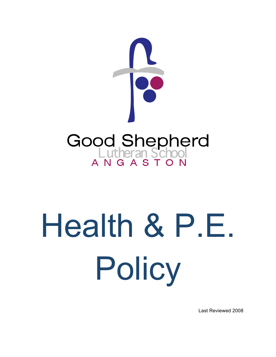

# Health & P.E. Policy

Last Reviewed 2008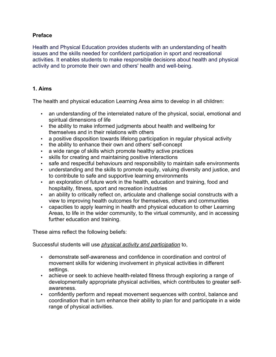## **Preface**

Health and Physical Education provides students with an understanding of health issues and the skills needed for confident participation in sport and recreational activities. It enables students to make responsible decisions about health and physical activity and to promote their own and others' health and well-being.

#### **1. Aims**

The health and physical education Learning Area aims to develop in all children:

- an understanding of the interrelated nature of the physical, social, emotional and spiritual dimensions of life
- the ability to make informed judgments about health and wellbeing for themselves and in their relations with others
- a positive disposition towards lifelong participation in regular physical activity
- the ability to enhance their own and others' self-concept
- a wide range of skills which promote healthy active practices
- skills for creating and maintaining positive interactions
- safe and respectful behaviours and responsibility to maintain safe environments
- understanding and the skills to promote equity, valuing diversity and justice, and to contribute to safe and supportive learning environments
- an exploration of future work in the health, education and training, food and hospitality, fitness, sport and recreation industries
- an ability to critically reflect on, articulate and challenge social constructs with a view to improving health outcomes for themselves, others and communities
- capacities to apply learning in health and physical education to other Learning Areas, to life in the wider community, to the virtual community, and in accessing further education and training.

These aims reflect the following beliefs:

Successful students will use *physical activity and participation* to,

- demonstrate self-awareness and confidence in coordination and control of movement skills for widening involvement in physical activities in different settings.
- achieve or seek to achieve health-related fitness through exploring a range of developmentally appropriate physical activities, which contributes to greater selfawareness.
- confidently perform and repeat movement sequences with control, balance and coordination that in turn enhance their ability to plan for and participate in a wide range of physical activities.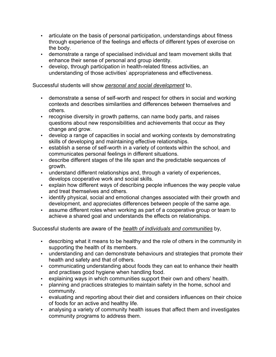- articulate on the basis of personal participation, understandings about fitness through experience of the feelings and effects of different types of exercise on the body.
- demonstrate a range of specialised individual and team movement skills that enhance their sense of personal and group identity.
- develop, through participation in health-related fitness activities, an understanding of those activities' appropriateness and effectiveness.

Successful students will show *personal and social development* to,

- demonstrate a sense of self-worth and respect for others in social and working contexts and describes similarities and differences between themselves and others.
- recognise diversity in growth patterns, can name body parts, and raises questions about new responsibilities and achievements that occur as they change and grow.
- develop a range of capacities in social and working contexts by demonstrating skills of developing and maintaining effective relationships.
- establish a sense of self-worth in a variety of contexts within the school, and communicates personal feelings in different situations.
- describe different stages of the life span and the predictable sequences of growth.
- understand different relationships and, through a variety of experiences, develops cooperative work and social skills.
- explain how different ways of describing people influences the way people value and treat themselves and others.
- identify physical, social and emotional changes associated with their growth and development, and appreciates differences between people of the same age.
- assume different roles when working as part of a cooperative group or team to achieve a shared goal and understands the effects on relationships.

Successful students are aware of the *health of individuals and communities* by,

- describing what it means to be healthy and the role of others in the community in supporting the health of its members.
- understanding and can demonstrate behaviours and strategies that promote their health and safety and that of others.
- communicating understanding about foods they can eat to enhance their health and practises good hygiene when handling food.
- explaining ways in which communities support their own and others' health.
- planning and practices strategies to maintain safety in the home, school and community.
- evaluating and reporting about their diet and considers influences on their choice of foods for an active and healthy life.
- analysing a variety of community health issues that affect them and investigates community programs to address them.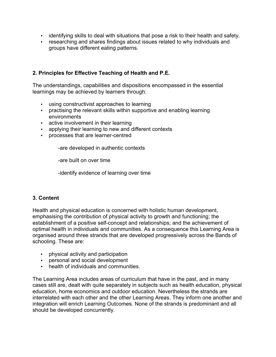- identifying skills to deal with situations that pose a risk to their health and safety.
- researching and shares findings about issues related to why individuals and groups have different eating patterns.

# **2. Principles for Effective Teaching of Health and P.E.**

The understandings, capabilities and dispositions encompassed in the essential learnings may be achieved by learners through:

- using constructivist approaches to learning
- practising the relevant skills within supportive and enabling learning environments
- active involvement in their learning
- applying their learning to new and different contexts
- processes that are learner-centred

-are developed in authentic contexts

-are built on over time

-identify evidence of learning over time

## **3. Content**

Health and physical education is concerned with holistic human development, emphasising the contribution of physical activity to growth and functioning; the establishment of a positive self-concept and relationships; and the achievement of optimal health in individuals and communities. As a consequence this Learning Area is organised around three strands that are developed progressively across the Bands of schooling. These are:

- physical activity and participation
- personal and social development
- health of individuals and communities.

The Learning Area includes areas of curriculum that have in the past, and in many cases still are, dealt with quite separately in subjects such as health education, physical education, home economics and outdoor education. Nevertheless the strands are interrelated with each other and the other Learning Areas. They inform one another and integration will enrich Learning Outcomes. None of the strands is predominant and all should be developed concurrently.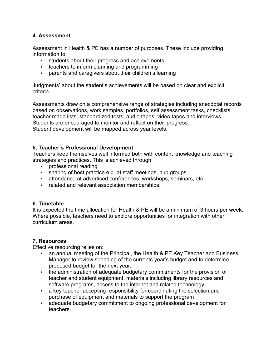## **4. Assessment**

Assessment in Health & PE has a number of purposes. These include providing information to:

- students about their progress and achievements
- teachers to inform planning and programming
- parents and caregivers about their children's learning

Judgments' about the student's achievements will be based on clear and explicit criteria.

Assessments draw on a comprehensive range of strategies including anecdotal records based on observations, work samples, portfolios, self assessment tasks, checklists, teacher made lists, standardized tests, audio tapes, video tapes and interviews. Students are encouraged to monitor and reflect on their progress. Student development will be mapped across year levels.

### **5. Teacher's Professional Development**

Teachers keep themselves well informed both with content knowledge and teaching strategies and practices. This is achieved through;

- professional reading
- sharing of best practice e.g. at staff meetings, hub groups
- attendance at advertised conferences, workshops, seminars, etc
- related and relevant association memberships.

## **6. Timetable**

It is expected the time allocation for Health & PE will be a minimum of 3 hours per week. Where possible, teachers need to explore opportunities for integration with other curriculum areas.

#### **7. Resources**

Effective resourcing relies on:

- an annual meeting of the Principal, the Health & PE Key Teacher and Business Manager to review spending of the currents year's budget and to determine proposed budget for the next year.
- the administration of adequate budgetary commitments for the provision of teacher and student equipment, materials including library resources and software programs, access to the internet and related technology
- a key teacher accepting responsibility for coordinating the selection and purchase of equipment and materials to support the program
- adequate budgetary commitment to ongoing professional development for teachers.